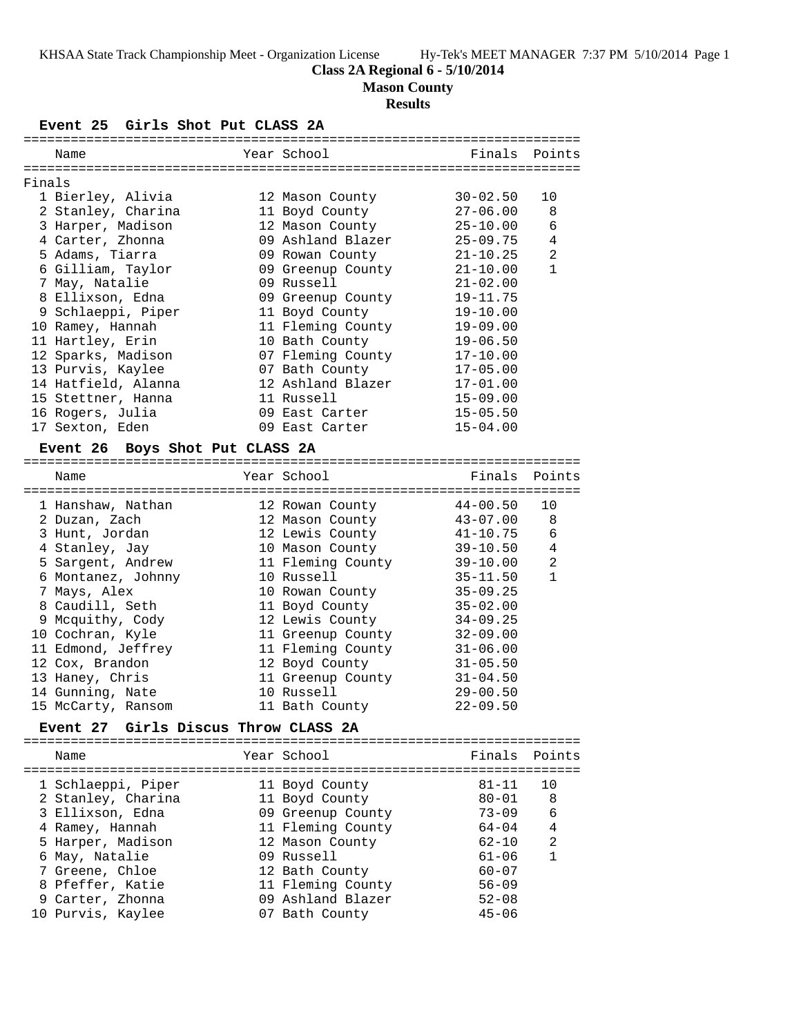# **Class 2A Regional 6 - 5/10/2014**

**Mason County**

# **Results**

**Event 25 Girls Shot Put CLASS 2A**

| Year School<br>Finals<br>Points<br>Name<br>Finals<br>1 Bierley, Alivia<br>$30 - 02.50$<br>12 Mason County<br>10<br>$27 - 06.00$<br>2 Stanley, Charina<br>11 Boyd County<br>8<br>$\epsilon$<br>3 Harper, Madison<br>12 Mason County<br>$25 - 10.00$<br>4 Carter, Zhonna<br>09 Ashland Blazer<br>$25 - 09.75$<br>4<br>2<br>5 Adams, Tiarra<br>09 Rowan County<br>$21 - 10.25$<br>6 Gilliam, Taylor<br>$\mathbf{1}$<br>09 Greenup County<br>$21 - 10.00$<br>7 May, Natalie<br>09 Russell<br>$21 - 02.00$<br>8 Ellixson, Edna<br>$19 - 11.75$<br>09 Greenup County<br>9 Schlaeppi, Piper<br>11 Boyd County<br>$19 - 10.00$<br>10 Ramey, Hannah<br>11 Fleming County<br>$19 - 09.00$<br>11 Hartley, Erin<br>10 Bath County<br>$19 - 06.50$<br>12 Sparks, Madison<br>07 Fleming County<br>$17 - 10.00$<br>13 Purvis, Kaylee<br>07 Bath County<br>$17 - 05.00$<br>14 Hatfield, Alanna<br>12 Ashland Blazer<br>$17 - 01.00$<br>15 Stettner, Hanna<br>11 Russell<br>$15 - 09.00$<br>16 Rogers, Julia<br>09 East Carter<br>$15 - 05.50$<br>09 East Carter<br>$15 - 04.00$<br>17 Sexton, Eden<br>Event 26 Boys Shot Put CLASS 2A<br>Year School<br>Finals<br>Name<br>Points<br>$44 - 00.50$<br>10<br>1 Hanshaw, Nathan<br>12 Rowan County<br>$43 - 07.00$<br>8<br>2 Duzan, Zach<br>12 Mason County<br>6<br>3 Hunt, Jordan<br>12 Lewis County<br>$41 - 10.75$<br>4 Stanley, Jay<br>10 Mason County<br>$39 - 10.50$<br>4<br>11 Fleming County<br>2<br>5 Sargent, Andrew<br>$39 - 10.00$<br>6 Montanez, Johnny<br>10 Russell<br>$35 - 11.50$<br>$\mathbf{1}$<br>7 Mays, Alex<br>10 Rowan County<br>$35 - 09.25$<br>8 Caudill, Seth<br>11 Boyd County<br>$35 - 02.00$<br>12 Lewis County<br>9 Mcquithy, Cody<br>$34 - 09.25$<br>10 Cochran, Kyle<br>$32 - 09.00$<br>11 Greenup County<br>11 Edmond, Jeffrey<br>11 Fleming County<br>$31 - 06.00$<br>12 Boyd County<br>$31 - 05.50$<br>12 Cox, Brandon<br>13 Haney, Chris<br>11 Greenup County<br>$31 - 04.50$<br>14 Gunning, Nate<br>10 Russell<br>$29 - 00.50$<br>$22 - 09.50$<br>15 McCarty, Ransom<br>11 Bath County<br><b>Event 27</b><br>Girls Discus Throw CLASS 2A<br>Year School<br>Finals<br>Name<br>Points<br>1 Schlaeppi, Piper<br>11 Boyd County<br>$81 - 11$<br>10 |  |  |  |
|------------------------------------------------------------------------------------------------------------------------------------------------------------------------------------------------------------------------------------------------------------------------------------------------------------------------------------------------------------------------------------------------------------------------------------------------------------------------------------------------------------------------------------------------------------------------------------------------------------------------------------------------------------------------------------------------------------------------------------------------------------------------------------------------------------------------------------------------------------------------------------------------------------------------------------------------------------------------------------------------------------------------------------------------------------------------------------------------------------------------------------------------------------------------------------------------------------------------------------------------------------------------------------------------------------------------------------------------------------------------------------------------------------------------------------------------------------------------------------------------------------------------------------------------------------------------------------------------------------------------------------------------------------------------------------------------------------------------------------------------------------------------------------------------------------------------------------------------------------------------------------------------------------------------------------------------------------------------------------------------------------------------------------------------------------------------------------------------------------------------------------------------------------------------------------------------------------------|--|--|--|
|                                                                                                                                                                                                                                                                                                                                                                                                                                                                                                                                                                                                                                                                                                                                                                                                                                                                                                                                                                                                                                                                                                                                                                                                                                                                                                                                                                                                                                                                                                                                                                                                                                                                                                                                                                                                                                                                                                                                                                                                                                                                                                                                                                                                                  |  |  |  |
|                                                                                                                                                                                                                                                                                                                                                                                                                                                                                                                                                                                                                                                                                                                                                                                                                                                                                                                                                                                                                                                                                                                                                                                                                                                                                                                                                                                                                                                                                                                                                                                                                                                                                                                                                                                                                                                                                                                                                                                                                                                                                                                                                                                                                  |  |  |  |
|                                                                                                                                                                                                                                                                                                                                                                                                                                                                                                                                                                                                                                                                                                                                                                                                                                                                                                                                                                                                                                                                                                                                                                                                                                                                                                                                                                                                                                                                                                                                                                                                                                                                                                                                                                                                                                                                                                                                                                                                                                                                                                                                                                                                                  |  |  |  |
|                                                                                                                                                                                                                                                                                                                                                                                                                                                                                                                                                                                                                                                                                                                                                                                                                                                                                                                                                                                                                                                                                                                                                                                                                                                                                                                                                                                                                                                                                                                                                                                                                                                                                                                                                                                                                                                                                                                                                                                                                                                                                                                                                                                                                  |  |  |  |
|                                                                                                                                                                                                                                                                                                                                                                                                                                                                                                                                                                                                                                                                                                                                                                                                                                                                                                                                                                                                                                                                                                                                                                                                                                                                                                                                                                                                                                                                                                                                                                                                                                                                                                                                                                                                                                                                                                                                                                                                                                                                                                                                                                                                                  |  |  |  |
|                                                                                                                                                                                                                                                                                                                                                                                                                                                                                                                                                                                                                                                                                                                                                                                                                                                                                                                                                                                                                                                                                                                                                                                                                                                                                                                                                                                                                                                                                                                                                                                                                                                                                                                                                                                                                                                                                                                                                                                                                                                                                                                                                                                                                  |  |  |  |
|                                                                                                                                                                                                                                                                                                                                                                                                                                                                                                                                                                                                                                                                                                                                                                                                                                                                                                                                                                                                                                                                                                                                                                                                                                                                                                                                                                                                                                                                                                                                                                                                                                                                                                                                                                                                                                                                                                                                                                                                                                                                                                                                                                                                                  |  |  |  |
|                                                                                                                                                                                                                                                                                                                                                                                                                                                                                                                                                                                                                                                                                                                                                                                                                                                                                                                                                                                                                                                                                                                                                                                                                                                                                                                                                                                                                                                                                                                                                                                                                                                                                                                                                                                                                                                                                                                                                                                                                                                                                                                                                                                                                  |  |  |  |
|                                                                                                                                                                                                                                                                                                                                                                                                                                                                                                                                                                                                                                                                                                                                                                                                                                                                                                                                                                                                                                                                                                                                                                                                                                                                                                                                                                                                                                                                                                                                                                                                                                                                                                                                                                                                                                                                                                                                                                                                                                                                                                                                                                                                                  |  |  |  |
|                                                                                                                                                                                                                                                                                                                                                                                                                                                                                                                                                                                                                                                                                                                                                                                                                                                                                                                                                                                                                                                                                                                                                                                                                                                                                                                                                                                                                                                                                                                                                                                                                                                                                                                                                                                                                                                                                                                                                                                                                                                                                                                                                                                                                  |  |  |  |
|                                                                                                                                                                                                                                                                                                                                                                                                                                                                                                                                                                                                                                                                                                                                                                                                                                                                                                                                                                                                                                                                                                                                                                                                                                                                                                                                                                                                                                                                                                                                                                                                                                                                                                                                                                                                                                                                                                                                                                                                                                                                                                                                                                                                                  |  |  |  |
|                                                                                                                                                                                                                                                                                                                                                                                                                                                                                                                                                                                                                                                                                                                                                                                                                                                                                                                                                                                                                                                                                                                                                                                                                                                                                                                                                                                                                                                                                                                                                                                                                                                                                                                                                                                                                                                                                                                                                                                                                                                                                                                                                                                                                  |  |  |  |
|                                                                                                                                                                                                                                                                                                                                                                                                                                                                                                                                                                                                                                                                                                                                                                                                                                                                                                                                                                                                                                                                                                                                                                                                                                                                                                                                                                                                                                                                                                                                                                                                                                                                                                                                                                                                                                                                                                                                                                                                                                                                                                                                                                                                                  |  |  |  |
|                                                                                                                                                                                                                                                                                                                                                                                                                                                                                                                                                                                                                                                                                                                                                                                                                                                                                                                                                                                                                                                                                                                                                                                                                                                                                                                                                                                                                                                                                                                                                                                                                                                                                                                                                                                                                                                                                                                                                                                                                                                                                                                                                                                                                  |  |  |  |
|                                                                                                                                                                                                                                                                                                                                                                                                                                                                                                                                                                                                                                                                                                                                                                                                                                                                                                                                                                                                                                                                                                                                                                                                                                                                                                                                                                                                                                                                                                                                                                                                                                                                                                                                                                                                                                                                                                                                                                                                                                                                                                                                                                                                                  |  |  |  |
|                                                                                                                                                                                                                                                                                                                                                                                                                                                                                                                                                                                                                                                                                                                                                                                                                                                                                                                                                                                                                                                                                                                                                                                                                                                                                                                                                                                                                                                                                                                                                                                                                                                                                                                                                                                                                                                                                                                                                                                                                                                                                                                                                                                                                  |  |  |  |
|                                                                                                                                                                                                                                                                                                                                                                                                                                                                                                                                                                                                                                                                                                                                                                                                                                                                                                                                                                                                                                                                                                                                                                                                                                                                                                                                                                                                                                                                                                                                                                                                                                                                                                                                                                                                                                                                                                                                                                                                                                                                                                                                                                                                                  |  |  |  |
|                                                                                                                                                                                                                                                                                                                                                                                                                                                                                                                                                                                                                                                                                                                                                                                                                                                                                                                                                                                                                                                                                                                                                                                                                                                                                                                                                                                                                                                                                                                                                                                                                                                                                                                                                                                                                                                                                                                                                                                                                                                                                                                                                                                                                  |  |  |  |
|                                                                                                                                                                                                                                                                                                                                                                                                                                                                                                                                                                                                                                                                                                                                                                                                                                                                                                                                                                                                                                                                                                                                                                                                                                                                                                                                                                                                                                                                                                                                                                                                                                                                                                                                                                                                                                                                                                                                                                                                                                                                                                                                                                                                                  |  |  |  |
|                                                                                                                                                                                                                                                                                                                                                                                                                                                                                                                                                                                                                                                                                                                                                                                                                                                                                                                                                                                                                                                                                                                                                                                                                                                                                                                                                                                                                                                                                                                                                                                                                                                                                                                                                                                                                                                                                                                                                                                                                                                                                                                                                                                                                  |  |  |  |
|                                                                                                                                                                                                                                                                                                                                                                                                                                                                                                                                                                                                                                                                                                                                                                                                                                                                                                                                                                                                                                                                                                                                                                                                                                                                                                                                                                                                                                                                                                                                                                                                                                                                                                                                                                                                                                                                                                                                                                                                                                                                                                                                                                                                                  |  |  |  |
|                                                                                                                                                                                                                                                                                                                                                                                                                                                                                                                                                                                                                                                                                                                                                                                                                                                                                                                                                                                                                                                                                                                                                                                                                                                                                                                                                                                                                                                                                                                                                                                                                                                                                                                                                                                                                                                                                                                                                                                                                                                                                                                                                                                                                  |  |  |  |
|                                                                                                                                                                                                                                                                                                                                                                                                                                                                                                                                                                                                                                                                                                                                                                                                                                                                                                                                                                                                                                                                                                                                                                                                                                                                                                                                                                                                                                                                                                                                                                                                                                                                                                                                                                                                                                                                                                                                                                                                                                                                                                                                                                                                                  |  |  |  |
|                                                                                                                                                                                                                                                                                                                                                                                                                                                                                                                                                                                                                                                                                                                                                                                                                                                                                                                                                                                                                                                                                                                                                                                                                                                                                                                                                                                                                                                                                                                                                                                                                                                                                                                                                                                                                                                                                                                                                                                                                                                                                                                                                                                                                  |  |  |  |
|                                                                                                                                                                                                                                                                                                                                                                                                                                                                                                                                                                                                                                                                                                                                                                                                                                                                                                                                                                                                                                                                                                                                                                                                                                                                                                                                                                                                                                                                                                                                                                                                                                                                                                                                                                                                                                                                                                                                                                                                                                                                                                                                                                                                                  |  |  |  |
|                                                                                                                                                                                                                                                                                                                                                                                                                                                                                                                                                                                                                                                                                                                                                                                                                                                                                                                                                                                                                                                                                                                                                                                                                                                                                                                                                                                                                                                                                                                                                                                                                                                                                                                                                                                                                                                                                                                                                                                                                                                                                                                                                                                                                  |  |  |  |
|                                                                                                                                                                                                                                                                                                                                                                                                                                                                                                                                                                                                                                                                                                                                                                                                                                                                                                                                                                                                                                                                                                                                                                                                                                                                                                                                                                                                                                                                                                                                                                                                                                                                                                                                                                                                                                                                                                                                                                                                                                                                                                                                                                                                                  |  |  |  |
|                                                                                                                                                                                                                                                                                                                                                                                                                                                                                                                                                                                                                                                                                                                                                                                                                                                                                                                                                                                                                                                                                                                                                                                                                                                                                                                                                                                                                                                                                                                                                                                                                                                                                                                                                                                                                                                                                                                                                                                                                                                                                                                                                                                                                  |  |  |  |
|                                                                                                                                                                                                                                                                                                                                                                                                                                                                                                                                                                                                                                                                                                                                                                                                                                                                                                                                                                                                                                                                                                                                                                                                                                                                                                                                                                                                                                                                                                                                                                                                                                                                                                                                                                                                                                                                                                                                                                                                                                                                                                                                                                                                                  |  |  |  |
|                                                                                                                                                                                                                                                                                                                                                                                                                                                                                                                                                                                                                                                                                                                                                                                                                                                                                                                                                                                                                                                                                                                                                                                                                                                                                                                                                                                                                                                                                                                                                                                                                                                                                                                                                                                                                                                                                                                                                                                                                                                                                                                                                                                                                  |  |  |  |
|                                                                                                                                                                                                                                                                                                                                                                                                                                                                                                                                                                                                                                                                                                                                                                                                                                                                                                                                                                                                                                                                                                                                                                                                                                                                                                                                                                                                                                                                                                                                                                                                                                                                                                                                                                                                                                                                                                                                                                                                                                                                                                                                                                                                                  |  |  |  |
|                                                                                                                                                                                                                                                                                                                                                                                                                                                                                                                                                                                                                                                                                                                                                                                                                                                                                                                                                                                                                                                                                                                                                                                                                                                                                                                                                                                                                                                                                                                                                                                                                                                                                                                                                                                                                                                                                                                                                                                                                                                                                                                                                                                                                  |  |  |  |
|                                                                                                                                                                                                                                                                                                                                                                                                                                                                                                                                                                                                                                                                                                                                                                                                                                                                                                                                                                                                                                                                                                                                                                                                                                                                                                                                                                                                                                                                                                                                                                                                                                                                                                                                                                                                                                                                                                                                                                                                                                                                                                                                                                                                                  |  |  |  |
|                                                                                                                                                                                                                                                                                                                                                                                                                                                                                                                                                                                                                                                                                                                                                                                                                                                                                                                                                                                                                                                                                                                                                                                                                                                                                                                                                                                                                                                                                                                                                                                                                                                                                                                                                                                                                                                                                                                                                                                                                                                                                                                                                                                                                  |  |  |  |
|                                                                                                                                                                                                                                                                                                                                                                                                                                                                                                                                                                                                                                                                                                                                                                                                                                                                                                                                                                                                                                                                                                                                                                                                                                                                                                                                                                                                                                                                                                                                                                                                                                                                                                                                                                                                                                                                                                                                                                                                                                                                                                                                                                                                                  |  |  |  |
|                                                                                                                                                                                                                                                                                                                                                                                                                                                                                                                                                                                                                                                                                                                                                                                                                                                                                                                                                                                                                                                                                                                                                                                                                                                                                                                                                                                                                                                                                                                                                                                                                                                                                                                                                                                                                                                                                                                                                                                                                                                                                                                                                                                                                  |  |  |  |
|                                                                                                                                                                                                                                                                                                                                                                                                                                                                                                                                                                                                                                                                                                                                                                                                                                                                                                                                                                                                                                                                                                                                                                                                                                                                                                                                                                                                                                                                                                                                                                                                                                                                                                                                                                                                                                                                                                                                                                                                                                                                                                                                                                                                                  |  |  |  |
|                                                                                                                                                                                                                                                                                                                                                                                                                                                                                                                                                                                                                                                                                                                                                                                                                                                                                                                                                                                                                                                                                                                                                                                                                                                                                                                                                                                                                                                                                                                                                                                                                                                                                                                                                                                                                                                                                                                                                                                                                                                                                                                                                                                                                  |  |  |  |
|                                                                                                                                                                                                                                                                                                                                                                                                                                                                                                                                                                                                                                                                                                                                                                                                                                                                                                                                                                                                                                                                                                                                                                                                                                                                                                                                                                                                                                                                                                                                                                                                                                                                                                                                                                                                                                                                                                                                                                                                                                                                                                                                                                                                                  |  |  |  |
|                                                                                                                                                                                                                                                                                                                                                                                                                                                                                                                                                                                                                                                                                                                                                                                                                                                                                                                                                                                                                                                                                                                                                                                                                                                                                                                                                                                                                                                                                                                                                                                                                                                                                                                                                                                                                                                                                                                                                                                                                                                                                                                                                                                                                  |  |  |  |
|                                                                                                                                                                                                                                                                                                                                                                                                                                                                                                                                                                                                                                                                                                                                                                                                                                                                                                                                                                                                                                                                                                                                                                                                                                                                                                                                                                                                                                                                                                                                                                                                                                                                                                                                                                                                                                                                                                                                                                                                                                                                                                                                                                                                                  |  |  |  |
|                                                                                                                                                                                                                                                                                                                                                                                                                                                                                                                                                                                                                                                                                                                                                                                                                                                                                                                                                                                                                                                                                                                                                                                                                                                                                                                                                                                                                                                                                                                                                                                                                                                                                                                                                                                                                                                                                                                                                                                                                                                                                                                                                                                                                  |  |  |  |
|                                                                                                                                                                                                                                                                                                                                                                                                                                                                                                                                                                                                                                                                                                                                                                                                                                                                                                                                                                                                                                                                                                                                                                                                                                                                                                                                                                                                                                                                                                                                                                                                                                                                                                                                                                                                                                                                                                                                                                                                                                                                                                                                                                                                                  |  |  |  |
|                                                                                                                                                                                                                                                                                                                                                                                                                                                                                                                                                                                                                                                                                                                                                                                                                                                                                                                                                                                                                                                                                                                                                                                                                                                                                                                                                                                                                                                                                                                                                                                                                                                                                                                                                                                                                                                                                                                                                                                                                                                                                                                                                                                                                  |  |  |  |

|  | 1 Schlaeppi, Piper | 11 Boyd County    | $81 - 11$ | 10             |
|--|--------------------|-------------------|-----------|----------------|
|  | 2 Stanley, Charina | 11 Boyd County    | $80 - 01$ | - 8            |
|  | 3 Ellixson, Edna   | 09 Greenup County | $73 - 09$ | - 6            |
|  | 4 Ramey, Hannah    | 11 Fleming County | $64 - 04$ | $\overline{4}$ |
|  | 5 Harper, Madison  | 12 Mason County   | $62 - 10$ | -2             |
|  | 6 May, Natalie     | 09 Russell        | $61 - 06$ | $\overline{1}$ |
|  | 7 Greene, Chloe    | 12 Bath County    | $60 - 07$ |                |
|  | 8 Pfeffer, Katie   | 11 Fleming County | $56 - 09$ |                |
|  | 9 Carter, Zhonna   | 09 Ashland Blazer | $52 - 08$ |                |
|  | 10 Purvis, Kaylee  | 07 Bath County    | $45 - 06$ |                |
|  |                    |                   |           |                |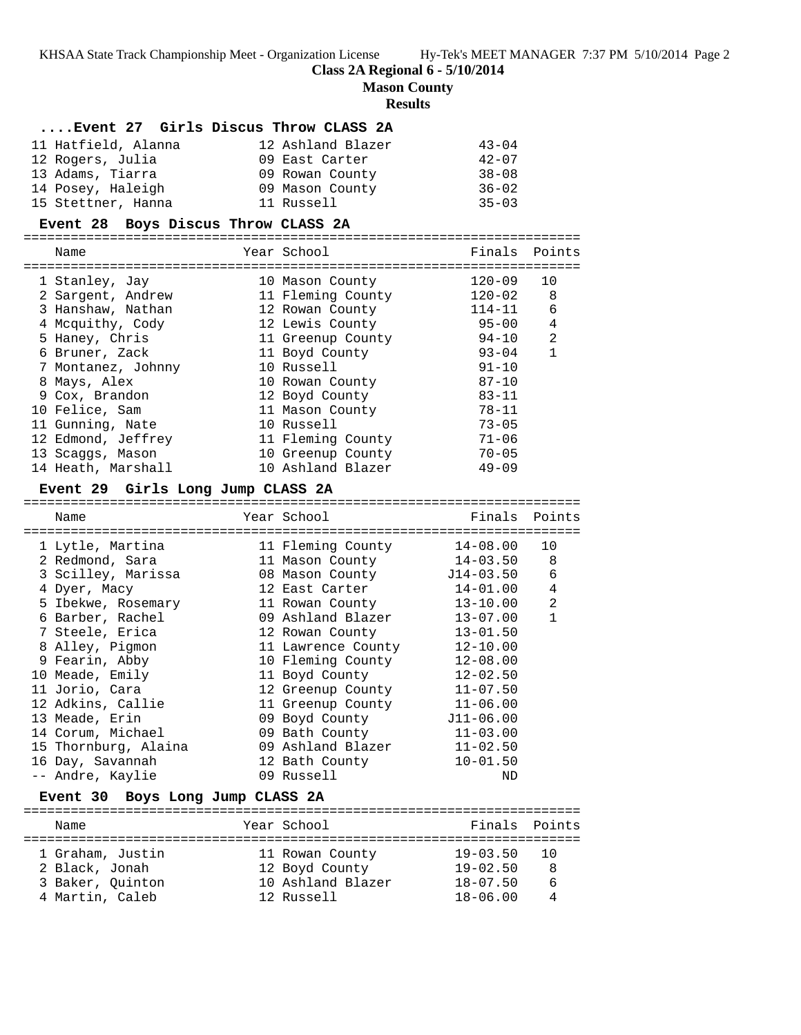KHSAA State Track Championship Meet - Organization License Hy-Tek's MEET MANAGER 7:37 PM 5/10/2014 Page 2

**Class 2A Regional 6 - 5/10/2014**

**Mason County**

## **Results**

# **....Event 27 Girls Discus Throw CLASS 2A**

| 11 Hatfield, Alanna | 12 Ashland Blazer | $43 - 04$ |
|---------------------|-------------------|-----------|
| 12 Rogers, Julia    | 09 East Carter    | $42 - 07$ |
| 13 Adams, Tiarra    | 09 Rowan County   | $38 - 08$ |
| 14 Posey, Haleigh   | 09 Mason County   | $36 - 02$ |
| 15 Stettner, Hanna  | 11 Russell        | $35 - 03$ |

## **Event 28 Boys Discus Throw CLASS 2A**

| Name               | Year School       | Finals Points |    |
|--------------------|-------------------|---------------|----|
| 1 Stanley, Jay     | 10 Mason County   | $120 - 09$    | 10 |
| 2 Sargent, Andrew  | 11 Fleming County | 120-02        | 8  |
| 3 Hanshaw, Nathan  | 12 Rowan County   | $114 - 11$    | 6  |
| 4 Mcquithy, Cody   | 12 Lewis County   | $95 - 00$     | 4  |
| 5 Haney, Chris     | 11 Greenup County | 94-10         | 2  |
| 6 Bruner, Zack     | 11 Boyd County    | $93 - 04$     | 1  |
| 7 Montanez, Johnny | 10 Russell        | $91 - 10$     |    |
| 8 Mays, Alex       | 10 Rowan County   | $87 - 10$     |    |
| 9 Cox, Brandon     | 12 Boyd County    | $83 - 11$     |    |
| 10 Felice, Sam     | 11 Mason County   | $78 - 11$     |    |
| 11 Gunning, Nate   | 10 Russell        | $73 - 05$     |    |
| 12 Edmond, Jeffrey | 11 Fleming County | $71 - 06$     |    |
| 13 Scaggs, Mason   | 10 Greenup County | $70 - 05$     |    |
| 14 Heath, Marshall | 10 Ashland Blazer | $49 - 09$     |    |

### **Event 29 Girls Long Jump CLASS 2A**

| Name                             | Year School                | Finals Points |                |
|----------------------------------|----------------------------|---------------|----------------|
| ===========<br>1 Lytle, Martina  | 11 Fleming County          | 14-08.00      | 10             |
| 2 Redmond, Sara                  | 11 Mason County 14-03.50   |               | 8              |
| 3 Scilley, Marissa               | 08 Mason County J14-03.50  |               | 6              |
| 4 Dyer, Macy                     | 12 East Carter             | 14-01.00      | $\overline{4}$ |
| 5 Ibekwe, Rosemary               | 11 Rowan County            | 13-10.00      | $\overline{2}$ |
| 6 Barber, Rachel                 | 09 Ashland Blazer          | 13-07.00      | $\mathbf{1}$   |
| 7 Steele, Erica                  | 12 Rowan County            | $13 - 01.50$  |                |
| 8 Alley, Pigmon                  | 11 Lawrence County         | $12 - 10.00$  |                |
| 9 Fearin, Abby                   | 10 Fleming County          | $12 - 08.00$  |                |
| 10 Meade, Emily                  | 11 Boyd County             | $12 - 02.50$  |                |
| 11 Jorio, Cara                   | 12 Greenup County          | $11 - 07.50$  |                |
| 12 Adkins, Callie                | 11 Greenup County 11-06.00 |               |                |
| 13 Meade, Erin                   | 09 Boyd County 511-06.00   |               |                |
| 14 Corum, Michael                | 09 Bath County 11-03.00    |               |                |
| 15 Thornburg, Alaina             | 09 Ashland Blazer          | $11 - 02.50$  |                |
| 16 Day, Savannah                 | 12 Bath County             | $10 - 01.50$  |                |
| -- Andre, Kaylie                 | 09 Russell                 | ND            |                |
| Event 30 Boys Long Jump CLASS 2A |                            |               |                |
| Name                             | Year School                | Finals        | Points         |

| Name                                                                      | Year School                                                          | Finals Points                                                |                |
|---------------------------------------------------------------------------|----------------------------------------------------------------------|--------------------------------------------------------------|----------------|
| 1 Graham, Justin<br>2 Black, Jonah<br>3 Baker, Ouinton<br>4 Martin, Caleb | 11 Rowan County<br>12 Boyd County<br>10 Ashland Blazer<br>12 Russell | $19 - 03.50$<br>$19 - 02.50$<br>$18 - 07.50$<br>$18 - 06.00$ | - 10<br>8<br>6 |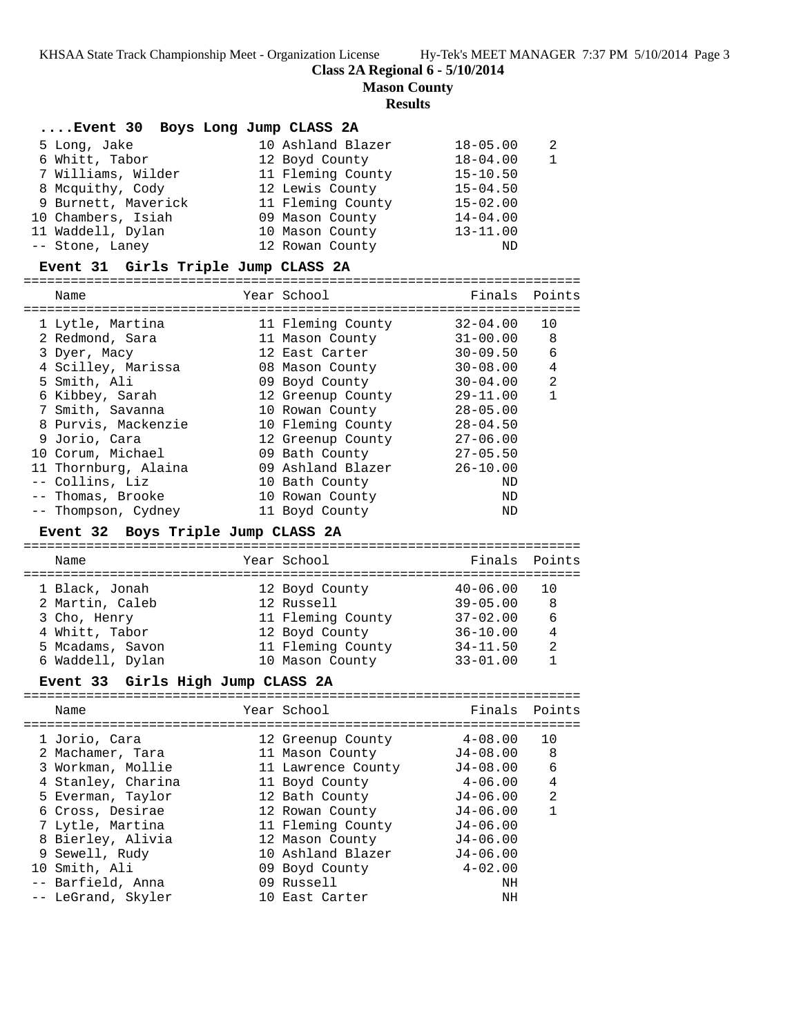KHSAA State Track Championship Meet - Organization License Hy-Tek's MEET MANAGER 7:37 PM 5/10/2014 Page 3

**Class 2A Regional 6 - 5/10/2014**

**Mason County**

# **Results**

| Event 30 Boys Long Jump CLASS 2A |                   |              |                |
|----------------------------------|-------------------|--------------|----------------|
| 5 Long, Jake                     | 10 Ashland Blazer | $18 - 05.00$ | $\mathfrak{D}$ |
| 6 Whitt, Tabor                   | 12 Boyd County    | $18 - 04.00$ | $\mathbf{1}$   |
| 7 Williams, Wilder               | 11 Fleming County | $15 - 10.50$ |                |
| 8 Mcquithy, Cody                 | 12 Lewis County   | $15 - 04.50$ |                |
| 9 Burnett, Maverick              | 11 Fleming County | $15 - 02.00$ |                |
| 10 Chambers, Isiah               | 09 Mason County   | $14 - 04.00$ |                |
| 11 Waddell, Dylan                | 10 Mason County   | $13 - 11.00$ |                |
| -- Stone, Laney                  | 12 Rowan County   | ND           |                |

# **Event 31 Girls Triple Jump CLASS 2A**

| Name                 | Year School       | Finals Points |    |
|----------------------|-------------------|---------------|----|
| 1 Lytle, Martina     | 11 Fleming County | $32 - 04.00$  | 10 |
| 2 Redmond, Sara      | 11 Mason County   | $31 - 00.00$  | 8  |
| 3 Dyer, Macy         | 12 East Carter    | $30 - 09.50$  | 6  |
| 4 Scilley, Marissa   | 08 Mason County   | $30 - 08.00$  | 4  |
| 5 Smith, Ali         | 09 Boyd County    | $30 - 04.00$  | 2  |
| 6 Kibbey, Sarah      | 12 Greenup County | $29 - 11.00$  |    |
| 7 Smith, Savanna     | 10 Rowan County   | $28 - 05.00$  |    |
| 8 Purvis, Mackenzie  | 10 Fleming County | $28 - 04.50$  |    |
| 9 Jorio, Cara        | 12 Greenup County | $27 - 06.00$  |    |
| 10 Corum, Michael    | 09 Bath County    | $27 - 05.50$  |    |
| 11 Thornburg, Alaina | 09 Ashland Blazer | $26 - 10.00$  |    |
| -- Collins, Liz      | 10 Bath County    | ND            |    |
| -- Thomas, Brooke    | 10 Rowan County   | ND            |    |
| -- Thompson, Cydney  | 11 Boyd County    | ND            |    |

## **Event 32 Boys Triple Jump CLASS 2A**

| Name             | Year School       | Finals Points |     |
|------------------|-------------------|---------------|-----|
| 1 Black, Jonah   | 12 Boyd County    | $40 - 06.00$  | 1 O |
| 2 Martin, Caleb  | 12 Russell        | $39 - 05.00$  | 8   |
| 3 Cho, Henry     | 11 Fleming County | $37 - 02.00$  | 6   |
| 4 Whitt, Tabor   | 12 Boyd County    | $36 - 10.00$  | 4   |
| 5 Mcadams, Savon | 11 Fleming County | $34 - 11.50$  | 2   |
| 6 Waddell, Dylan | 10 Mason County   | $33 - 01.00$  |     |
|                  |                   |               |     |

# **Event 33 Girls High Jump CLASS 2A**

| Name               | Year School        | Finals Points |                |
|--------------------|--------------------|---------------|----------------|
| 1 Jorio, Cara      | 12 Greenup County  | $4 - 08.00$   | 10             |
| 2 Machamer, Tara   | 11 Mason County    | J4-08.00      | - 8            |
| 3 Workman, Mollie  | 11 Lawrence County | $J4-08.00$    | 6              |
| 4 Stanley, Charina | 11 Boyd County     | $4 - 06.00$   | 4              |
| 5 Everman, Taylor  | 12 Bath County     | $J4 - 06.00$  | $\mathfrak{D}$ |
| 6 Cross, Desirae   | 12 Rowan County    | $J4 - 06.00$  |                |
| 7 Lytle, Martina   | 11 Fleming County  | $J4 - 06.00$  |                |
| 8 Bierley, Alivia  | 12 Mason County    | $J4 - 06.00$  |                |
| 9 Sewell, Rudy     | 10 Ashland Blazer  | $J4 - 06.00$  |                |
| 10 Smith, Ali      | 09 Boyd County     | $4 - 02.00$   |                |
| -- Barfield, Anna  | 09 Russell         | ΝH            |                |
| -- LeGrand, Skyler | 10 East Carter     | ΝH            |                |